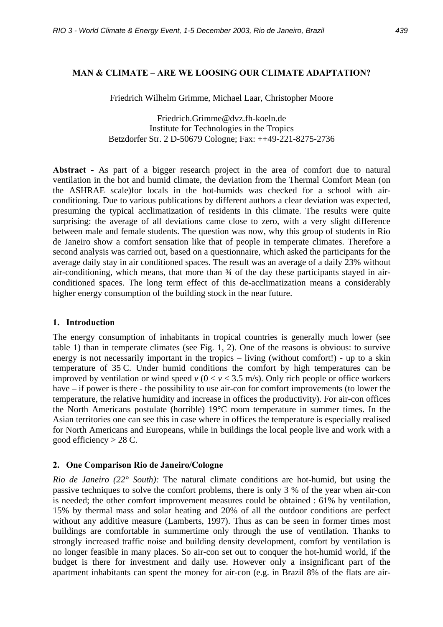### **MAN & CLIMATE – ARE WE LOOSING OUR CLIMATE ADAPTATION?**

Friedrich Wilhelm Grimme, Michael Laar, Christopher Moore

Friedrich.Grimme@dvz.fh-koeln.de Institute for Technologies in the Tropics Betzdorfer Str. 2 D-50679 Cologne; Fax: ++49-221-8275-2736

**Abstract -** As part of a bigger research project in the area of comfort due to natural ventilation in the hot and humid climate, the deviation from the Thermal Comfort Mean (on the ASHRAE scale)for locals in the hot-humids was checked for a school with airconditioning. Due to various publications by different authors a clear deviation was expected, presuming the typical acclimatization of residents in this climate. The results were quite surprising: the average of all deviations came close to zero, with a very slight difference between male and female students. The question was now, why this group of students in Rio de Janeiro show a comfort sensation like that of people in temperate climates. Therefore a second analysis was carried out, based on a questionnaire, which asked the participants for the average daily stay in air conditioned spaces. The result was an average of a daily 23% without air-conditioning, which means, that more than ¾ of the day these participants stayed in airconditioned spaces. The long term effect of this de-acclimatization means a considerably higher energy consumption of the building stock in the near future.

#### **1. Introduction**

The energy consumption of inhabitants in tropical countries is generally much lower (see table 1) than in temperate climates (see Fig. 1, 2). One of the reasons is obvious: to survive energy is not necessarily important in the tropics – living (without comfort!) - up to a skin temperature of 35 C. Under humid conditions the comfort by high temperatures can be improved by ventilation or wind speed  $v(0 < v < 3.5$  m/s). Only rich people or office workers have – if power is there - the possibility to use air-con for comfort improvements (to lower the temperature, the relative humidity and increase in offices the productivity). For air-con offices the North Americans postulate (horrible) 19°C room temperature in summer times. In the Asian territories one can see this in case where in offices the temperature is especially realised for North Americans and Europeans, while in buildings the local people live and work with a good efficiency  $> 28$  C.

## **2. One Comparison Rio de Janeiro/Cologne**

*Rio de Janeiro (22° South):* The natural climate conditions are hot-humid, but using the passive techniques to solve the comfort problems, there is only 3 % of the year when air-con is needed; the other comfort improvement measures could be obtained : 61% by ventilation, 15% by thermal mass and solar heating and 20% of all the outdoor conditions are perfect without any additive measure (Lamberts, 1997). Thus as can be seen in former times most buildings are comfortable in summertime only through the use of ventilation. Thanks to strongly increased traffic noise and building density development, comfort by ventilation is no longer feasible in many places. So air-con set out to conquer the hot-humid world, if the budget is there for investment and daily use. However only a insignificant part of the apartment inhabitants can spent the money for air-con (e.g. in Brazil 8% of the flats are air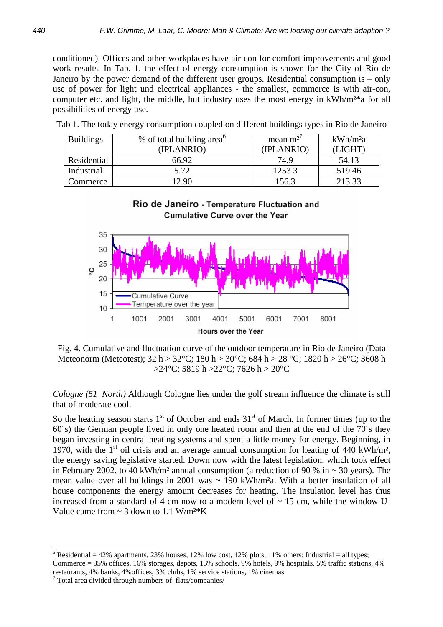conditioned). Offices and other workplaces have air-con for comfort improvements and good work results. In Tab. 1. the effect of energy consumption is shown for the City of Rio de Janeiro by the power demand of the different user groups. Residential consumption is – only use of power for light und electrical appliances - the smallest, commerce is with air-con, computer etc. and light, the middle, but industry uses the most energy in kWh/m<sup>2\*</sup>a for all possibilities of energy use.

| <b>Buildings</b> | % of total building area <sup>o</sup><br>(IPLANRIO) | mean $m^2$<br>(IPLANRIO) | kWh/m <sup>2</sup> a<br>(LIGHT) |
|------------------|-----------------------------------------------------|--------------------------|---------------------------------|
| Residential      | 66.92                                               | 74.9                     | 54.13                           |
| Industrial       | 5.72                                                | 1253.3                   | 519.46                          |
| Commerce         | 2.90                                                | 56.3                     | 213.33                          |

Tab 1. The today energy consumption coupled on different buildings types in Rio de Janeiro

## Rio de Janeiro - Temperature Fluctuation and **Cumulative Curve over the Year**



Fig. 4. Cumulative and fluctuation curve of the outdoor temperature in Rio de Janeiro (Data Meteonorm (Meteotest); 32 h > 32°C; 180 h > 30°C; 684 h > 28 °C; 1820 h > 26°C; 3608 h  $>24$ °C; 5819 h  $>22$ °C; 7626 h  $>20$ °C

*Cologne (51 North)* Although Cologne lies under the golf stream influence the climate is still that of moderate cool.

So the heating season starts  $1<sup>st</sup>$  of October and ends  $31<sup>st</sup>$  of March. In former times (up to the 60´s) the German people lived in only one heated room and then at the end of the 70´s they began investing in central heating systems and spent a little money for energy. Beginning, in 1970, with the  $1<sup>st</sup>$  oil crisis and an average annual consumption for heating of 440 kWh/m<sup>2</sup>, the energy saving legislative started. Down now with the latest legislation, which took effect in February 2002, to 40 kWh/m<sup>2</sup> annual consumption (a reduction of 90 % in  $\sim$  30 years). The mean value over all buildings in 2001 was  $\sim$  190 kWh/m<sup>2</sup>a. With a better insulation of all house components the energy amount decreases for heating. The insulation level has thus increased from a standard of 4 cm now to a modern level of  $\sim$  15 cm, while the window U-Value came from  $\sim$  3 down to 1.1 W/m<sup>2\*</sup>K

 $\overline{a}$ 

<sup>&</sup>lt;sup>6</sup> Residential = 42% apartments, 23% houses, 12% low cost, 12% plots, 11% others; Industrial = all types; Commerce = 35% offices, 16% storages, depots, 13% schools, 9% hotels, 9% hospitals, 5% traffic stations, 4%

restaurants, 4% banks, 4%offices, 3% clubs, 1% service stations, 1% cinemas

<sup>7</sup> Total area divided through numbers of flats/companies/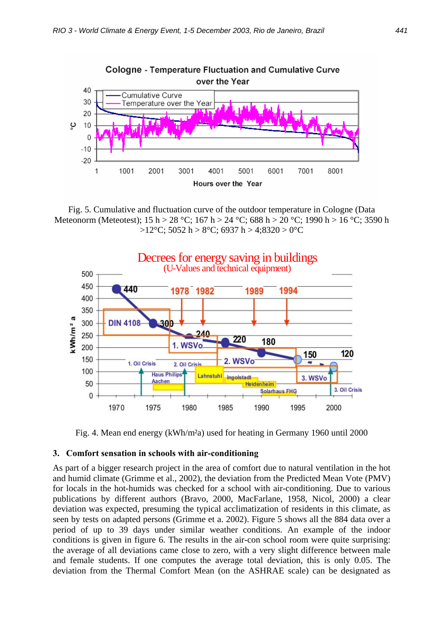

Fig. 5. Cumulative and fluctuation curve of the outdoor temperature in Cologne (Data Meteonorm (Meteotest); 15 h > 28 °C; 167 h > 24 °C; 688 h > 20 °C; 1990 h > 16 °C; 3590 h  $>12$ °C; 5052 h > 8°C; 6937 h > 4;8320 > 0°C



Fig. 4. Mean end energy (kWh/m²a) used for heating in Germany 1960 until 2000

#### **3. Comfort sensation in schools with air-conditioning**

As part of a bigger research project in the area of comfort due to natural ventilation in the hot and humid climate (Grimme et al., 2002), the deviation from the Predicted Mean Vote (PMV) for locals in the hot-humids was checked for a school with air-conditioning. Due to various publications by different authors (Bravo, 2000, MacFarlane, 1958, Nicol, 2000) a clear deviation was expected, presuming the typical acclimatization of residents in this climate, as seen by tests on adapted persons (Grimme et a. 2002). Figure 5 shows all the 884 data over a period of up to 39 days under similar weather conditions. An example of the indoor conditions is given in figure 6. The results in the air-con school room were quite surprising: the average of all deviations came close to zero, with a very slight difference between male and female students. If one computes the average total deviation, this is only 0.05. The deviation from the Thermal Comfort Mean (on the ASHRAE scale) can be designated as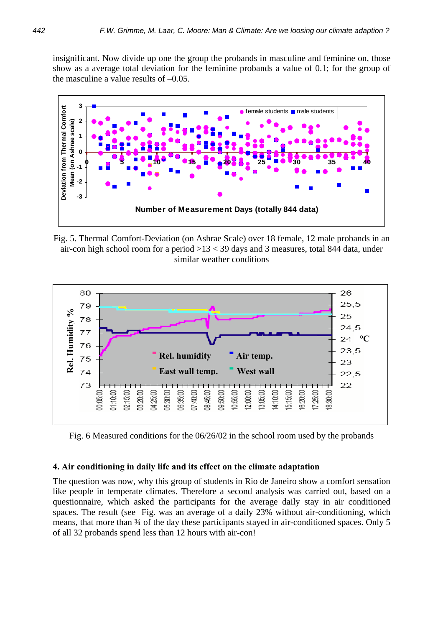insignificant. Now divide up one the group the probands in masculine and feminine on, those show as a average total deviation for the feminine probands a value of 0.1; for the group of the masculine a value results of –0.05.



Fig. 5. Thermal Comfort-Deviation (on Ashrae Scale) over 18 female, 12 male probands in an air-con high school room for a period  $>13 < 39$  days and 3 measures, total 844 data, under similar weather conditions



Fig. 6 Measured conditions for the 06/26/02 in the school room used by the probands

#### **4. Air conditioning in daily life and its effect on the climate adaptation**

The question was now, why this group of students in Rio de Janeiro show a comfort sensation like people in temperate climates. Therefore a second analysis was carried out, based on a questionnaire, which asked the participants for the average daily stay in air conditioned spaces. The result (see Fig. was an average of a daily 23% without air-conditioning, which means, that more than  $\frac{3}{4}$  of the day these participants stayed in air-conditioned spaces. Only 5 of all 32 probands spend less than 12 hours with air-con!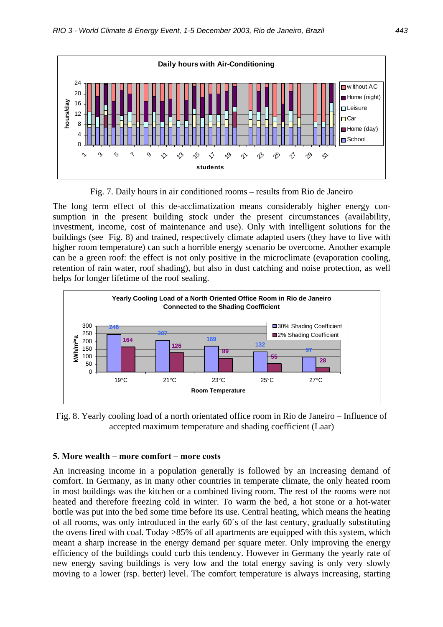

Fig. 7. Daily hours in air conditioned rooms – results from Rio de Janeiro

The long term effect of this de-acclimatization means considerably higher energy consumption in the present building stock under the present circumstances (availability, investment, income, cost of maintenance and use). Only with intelligent solutions for the buildings (see Fig. 8) and trained, respectively climate adapted users (they have to live with higher room temperature) can such a horrible energy scenario be overcome. Another example can be a green roof: the effect is not only positive in the microclimate (evaporation cooling, retention of rain water, roof shading), but also in dust catching and noise protection, as well helps for longer lifetime of the roof sealing.



Fig. 8. Yearly cooling load of a north orientated office room in Rio de Janeiro – Influence of accepted maximum temperature and shading coefficient (Laar)

## **5. More wealth – more comfort – more costs**

An increasing income in a population generally is followed by an increasing demand of comfort. In Germany, as in many other countries in temperate climate, the only heated room in most buildings was the kitchen or a combined living room. The rest of the rooms were not heated and therefore freezing cold in winter. To warm the bed, a hot stone or a hot-water bottle was put into the bed some time before its use. Central heating, which means the heating of all rooms, was only introduced in the early 60´s of the last century, gradually substituting the ovens fired with coal. Today >85% of all apartments are equipped with this system, which meant a sharp increase in the energy demand per square meter. Only improving the energy efficiency of the buildings could curb this tendency. However in Germany the yearly rate of new energy saving buildings is very low and the total energy saving is only very slowly moving to a lower (rsp. better) level. The comfort temperature is always increasing, starting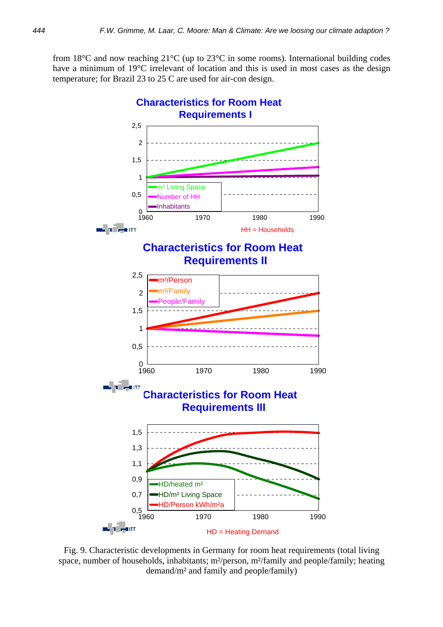from 18°C and now reaching 21°C (up to 23°C in some rooms). International building codes have a minimum of 19°C irrelevant of location and this is used in most cases as the design temperature; for Brazil 23 to 25 C are used for air-con design.



Fig. 9. Characteristic developments in Germany for room heat requirements (total living space, number of households, inhabitants; m<sup>2</sup>/person, m<sup>2</sup>/family and people/family; heating demand/m² and family and people/family)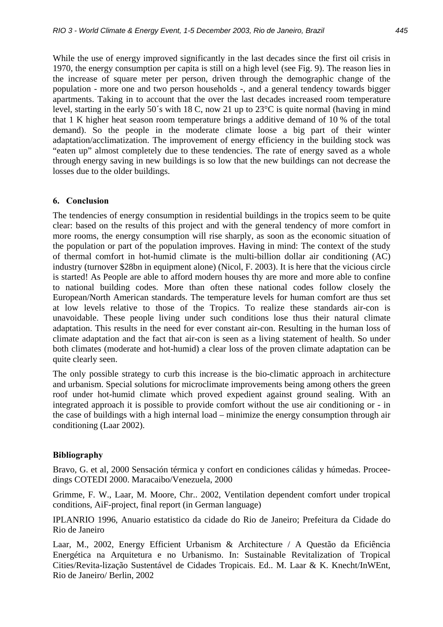While the use of energy improved significantly in the last decades since the first oil crisis in 1970, the energy consumption per capita is still on a high level (see Fig. 9). The reason lies in the increase of square meter per person, driven through the demographic change of the population - more one and two person households -, and a general tendency towards bigger apartments. Taking in to account that the over the last decades increased room temperature level, starting in the early 50´s with 18 C, now 21 up to 23°C is quite normal (having in mind that 1 K higher heat season room temperature brings a additive demand of 10 % of the total demand). So the people in the moderate climate loose a big part of their winter adaptation/acclimatization. The improvement of energy efficiency in the building stock was "eaten up" almost completely due to these tendencies. The rate of energy saved as a whole through energy saving in new buildings is so low that the new buildings can not decrease the losses due to the older buildings.

## **6. Conclusion**

The tendencies of energy consumption in residential buildings in the tropics seem to be quite clear: based on the results of this project and with the general tendency of more comfort in more rooms, the energy consumption will rise sharply, as soon as the economic situation of the population or part of the population improves. Having in mind: The context of the study of thermal comfort in hot-humid climate is the multi-billion dollar air conditioning (AC) industry (turnover \$28bn in equipment alone) (Nicol, F. 2003). It is here that the vicious circle is started! As People are able to afford modern houses thy are more and more able to confine to national building codes. More than often these national codes follow closely the European/North American standards. The temperature levels for human comfort are thus set at low levels relative to those of the Tropics. To realize these standards air-con is unavoidable. These people living under such conditions lose thus their natural climate adaptation. This results in the need for ever constant air-con. Resulting in the human loss of climate adaptation and the fact that air-con is seen as a living statement of health. So under both climates (moderate and hot-humid) a clear loss of the proven climate adaptation can be quite clearly seen.

The only possible strategy to curb this increase is the bio-climatic approach in architecture and urbanism. Special solutions for microclimate improvements being among others the green roof under hot-humid climate which proved expedient against ground sealing. With an integrated approach it is possible to provide comfort without the use air conditioning or - in the case of buildings with a high internal load – minimize the energy consumption through air conditioning (Laar 2002).

# **Bibliography**

Bravo, G. et al, 2000 Sensación térmica y confort en condiciones cálidas y húmedas. Proceedings COTEDI 2000. Maracaibo/Venezuela, 2000

Grimme, F. W., Laar, M. Moore, Chr.. 2002, Ventilation dependent comfort under tropical conditions, AiF-project, final report (in German language)

IPLANRIO 1996, Anuario estatistico da cidade do Rio de Janeiro; Prefeitura da Cidade do Rio de Janeiro

Laar, M., 2002, Energy Efficient Urbanism & Architecture / A Questão da Eficiência Energética na Arquitetura e no Urbanismo. In: Sustainable Revitalization of Tropical Cities/Revita-lização Sustentável de Cidades Tropicais. Ed.. M. Laar & K. Knecht/InWEnt, Rio de Janeiro/ Berlin, 2002